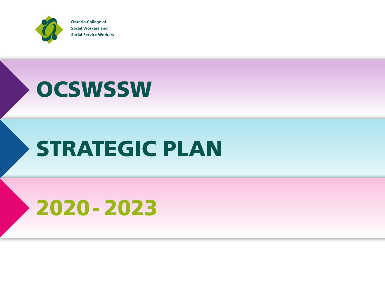

**Ontario College of Social Workers and Social Service Workers** 

## **OCSWSSW**

# STRATEGIC PLAN

# 2020 - 2023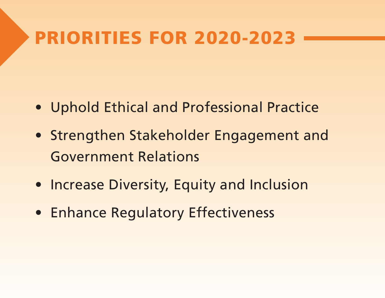#### PRIORITIES FOR 2020-2023

- Uphold Ethical and Professional Practice
- Strengthen Stakeholder Engagement and Government Relations
- Increase Diversity, Equity and Inclusion
- Enhance Regulatory Effectiveness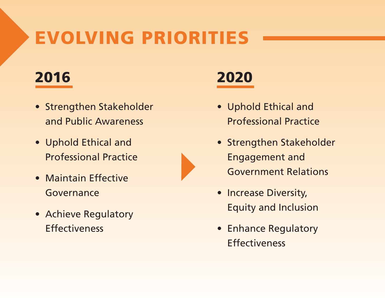### EVOLVING PRIORITIES

#### 2016

- Strengthen Stakeholder and Public Awareness
- Uphold Ethical and Professional Practice
- Maintain Effective Governance
- Achieve Regulatory **Effectiveness**

#### 2020

- Uphold Ethical and Professional Practice
- Strengthen Stakeholder Engagement and Government Relations
- Increase Diversity, Equity and Inclusion
- Enhance Regulatory Effectiveness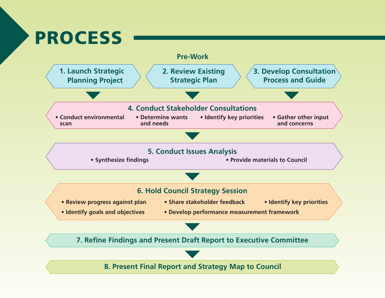#### PROCESS

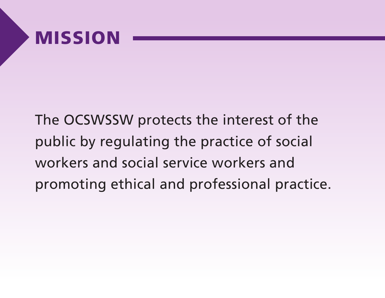#### MISSION

The OCSWSSW protects the interest of the public by regulating the practice of social workers and social service workers and promoting ethical and professional practice.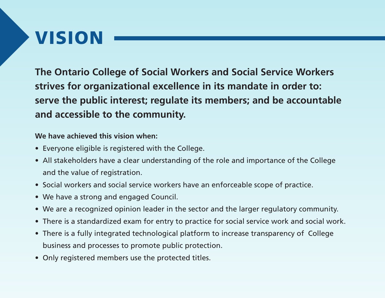### VISION

**The Ontario College of Social Workers and Social Service Workers strives for organizational excellence in its mandate in order to: serve the public interest; regulate its members; and be accountable and accessible to the community.** 

#### **We have achieved this vision when:**

- Everyone eligible is registered with the College.
- All stakeholders have a clear understanding of the role and importance of the College and the value of registration.
- Social workers and social service workers have an enforceable scope of practice.
- We have a strong and engaged Council.
- We are a recognized opinion leader in the sector and the larger regulatory community.
- There is a standardized exam for entry to practice for social service work and social work.
- There is a fully integrated technological platform to increase transparency of College business and processes to promote public protection.
- Only registered members use the protected titles.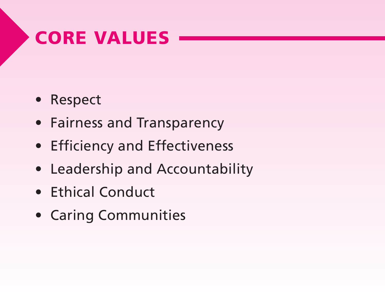#### CORE VALUES

- Respect
- Fairness and Transparency
- Efficiency and Effectiveness
- Leadership and Accountability
- Ethical Conduct
- Caring Communities